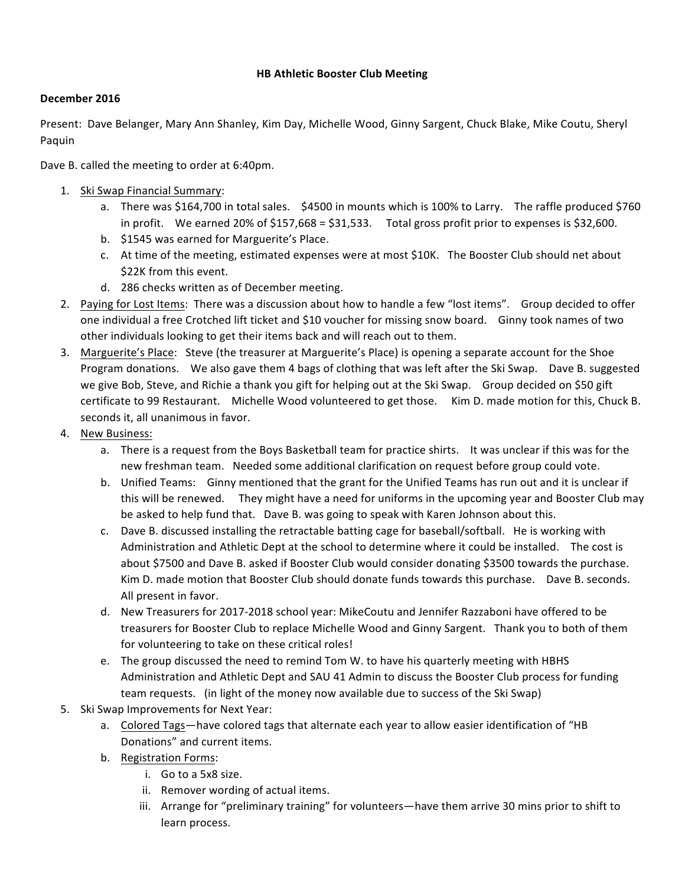## **HB Athletic Booster Club Meeting**

## **December 2016**

Present: Dave Belanger, Mary Ann Shanley, Kim Day, Michelle Wood, Ginny Sargent, Chuck Blake, Mike Coutu, Sheryl Paquin

Dave B. called the meeting to order at 6:40pm.

- 1. Ski Swap Financial Summary:
	- a. There was \$164,700 in total sales. \$4500 in mounts which is 100% to Larry. The raffle produced \$760 in profit. We earned 20% of \$157,668 = \$31,533. Total gross profit prior to expenses is \$32,600.
	- b. \$1545 was earned for Marguerite's Place.
	- c. At time of the meeting, estimated expenses were at most \$10K. The Booster Club should net about \$22K from this event.
	- d. 286 checks written as of December meeting.
- 2. Paying for Lost Items: There was a discussion about how to handle a few "lost items". Group decided to offer one individual a free Crotched lift ticket and \$10 voucher for missing snow board. Ginny took names of two other individuals looking to get their items back and will reach out to them.
- 3. Marguerite's Place: Steve (the treasurer at Marguerite's Place) is opening a separate account for the Shoe Program donations. We also gave them 4 bags of clothing that was left after the Ski Swap. Dave B. suggested we give Bob, Steve, and Richie a thank you gift for helping out at the Ski Swap. Group decided on \$50 gift certificate to 99 Restaurant. Michelle Wood volunteered to get those. Kim D. made motion for this, Chuck B. seconds it, all unanimous in favor.
- 4. New Business:
	- a. There is a request from the Boys Basketball team for practice shirts. It was unclear if this was for the new freshman team. Needed some additional clarification on request before group could vote.
	- b. Unified Teams: Ginny mentioned that the grant for the Unified Teams has run out and it is unclear if this will be renewed. They might have a need for uniforms in the upcoming year and Booster Club may be asked to help fund that. Dave B. was going to speak with Karen Johnson about this.
	- c. Dave B. discussed installing the retractable batting cage for baseball/softball. He is working with Administration and Athletic Dept at the school to determine where it could be installed. The cost is about \$7500 and Dave B. asked if Booster Club would consider donating \$3500 towards the purchase. Kim D. made motion that Booster Club should donate funds towards this purchase. Dave B. seconds. All present in favor.
	- d. New Treasurers for 2017-2018 school year: MikeCoutu and Jennifer Razzaboni have offered to be treasurers for Booster Club to replace Michelle Wood and Ginny Sargent. Thank you to both of them for volunteering to take on these critical roles!
	- e. The group discussed the need to remind Tom W. to have his quarterly meeting with HBHS Administration and Athletic Dept and SAU 41 Admin to discuss the Booster Club process for funding team requests. (in light of the money now available due to success of the Ski Swap)
- 5. Ski Swap Improvements for Next Year:
	- a. Colored Tags—have colored tags that alternate each year to allow easier identification of "HB Donations" and current items.
	- b. Registration Forms:
		- i. Go to a 5x8 size.
		- ii. Remover wording of actual items.
		- iii. Arrange for "preliminary training" for volunteers—have them arrive 30 mins prior to shift to learn process.